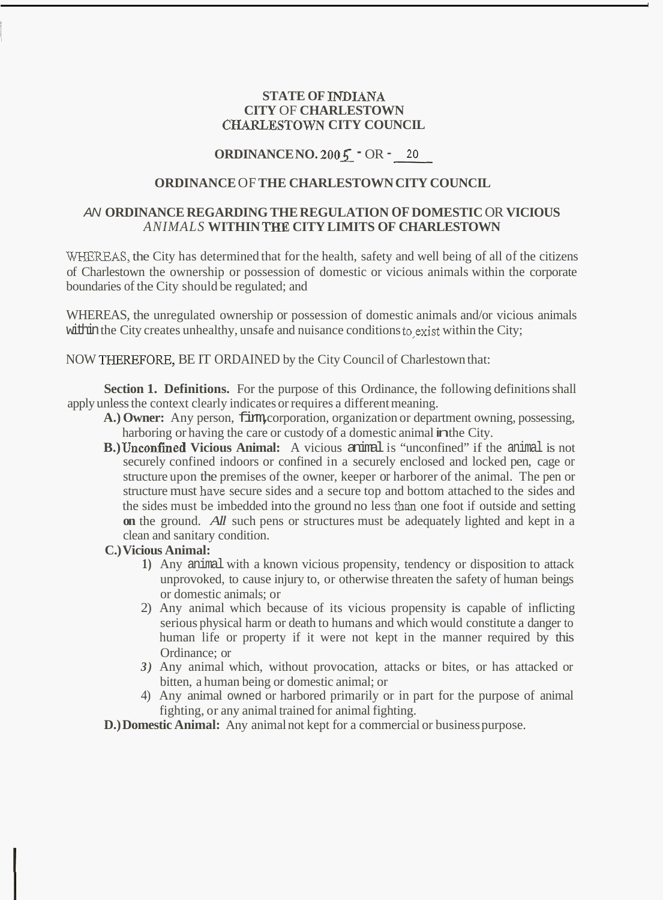### **STATE OF INDIANA CITY** OF **CHARLESTOWN CHARLESTOWN CITY COUNCIL**

,

# **ORDINANCE NO. 2005** - OR - *20*

# **ORDINANCE** OF **THE CHARLESTOWN CITY COUNCIL**

# *AN* **ORDINANCE REGARDING THE REGULATION OF DOMESTIC** OR **VICIOUS**  *ANIMALS* **WITHIN** THE **CITY LIMITS OF CHARLESTOWN**

WHEREAS, the City has determined that for the health, safety and well being of all of the citizens of Charlestown the ownership or possession of domestic or vicious animals within the corporate boundaries of the City should be regulated; and

WHEREAS, the unregulated ownership or possession of domestic animals and/or vicious animals within the City creates unhealthy, unsafe and nuisance conditions to exist within the City;

NOW THEREFORE, BE IT ORDAINED by the City Council of Charlestown that:

**Section 1. Definitions.** For the purpose of this Ordinance, the following definitions shall apply unless the context clearly indicates or requires a different meaning.

- A.) Owner: Any person, *firm, corporation*, organization or department owning, possessing, harboring or having the care or custody of a domestic animal in the City.
- **B.) Unconfined Vicious Animal:** A vicious animal is "unconfined" if the animal is not securely confined indoors or confined in a securely enclosed and locked pen, cage or structure upon the premises of the owner, keeper or harborer of the animal. The pen or structure must have secure sides and a secure top and bottom attached to the sides and the sides must be imbedded into the ground no less than one foot if outside and setting **on** the ground. *All* such pens or structures must be adequately lighted and kept in a clean and sanitary condition.

#### **C.) Vicious Animal:**

- **1)** Any animal with a known vicious propensity, tendency or disposition to attack unprovoked, to cause injury to, or otherwise threaten the safety of human beings or domestic animals; or
- 2) Any animal which because of its vicious propensity is capable of inflicting serious physical harm or death to humans and which would constitute a danger to human life or property if it were not kept in the manner required by this Ordinance; or
- *3)* Any animal which, without provocation, attacks or bites, or has attacked or bitten, a human being or domestic animal; or
- 4) Any animal owned or harbored primarily or in part for the purpose of animal fighting, or any animal trained for animal fighting.

**D.) Domestic Animal:** Any animal not kept for a commercial or business purpose.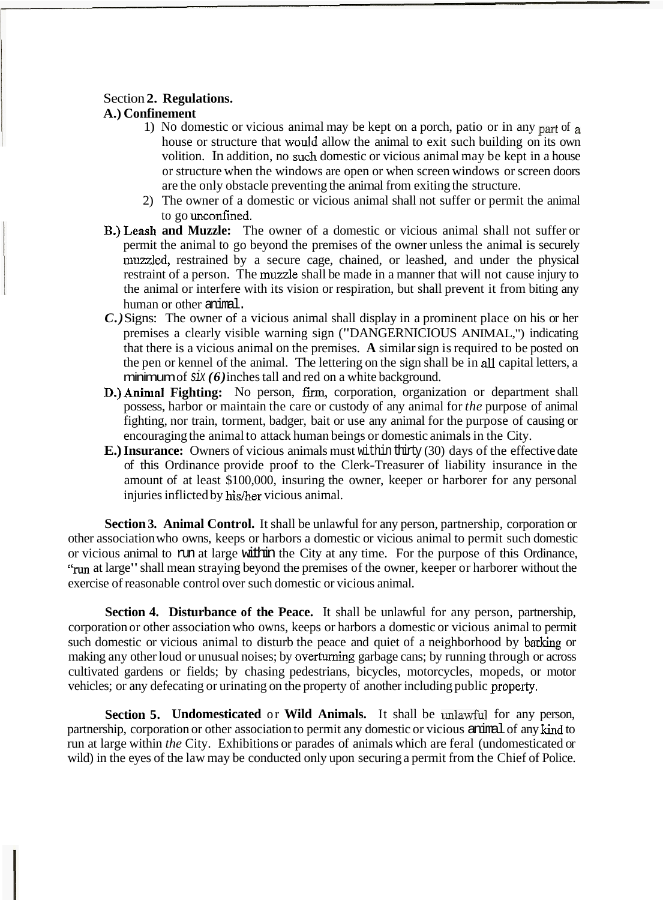#### Section **2. Regulations.**

## **A.) Confinement**

- 1) No domestic or vicious animal may be kept on a porch, patio or in any part of a house or structure that would allow the animal to exit such building on its own volition. In addition, no such domestic or vicious animal may be kept in a house or structure when the windows are open or when screen windows or screen doors are the only obstacle preventing the animal from exiting the structure.
- 2) The owner of a domestic or vicious animal shall not suffer or permit the animal to go unconfined.
- **B.)Leash and Muzzle:** The owner of a domestic or vicious animal shall not suffer or permit the animal to go beyond the premises of the owner unless the animal is securely muzzled, restrained by a secure cage, chained, or leashed, and under the physical restraint of a person. The muzzle shall be made in a manner that will not cause injury to the animal or interfere with its vision or respiration, but shall prevent it from biting any human or other animal.
- *C.)* Signs: The owner of a vicious animal shall display in a prominent place on his or her premises a clearly visible warning sign ("DANGERNICIOUS ANIMAL,") indicating that there is a vicious animal on the premises. **A** similar sign is required to be posted on the pen or kennel of the animal. The lettering on the sign shall be in all capital letters, a minimum of  $\text{six}(6)$  inches tall and red on a white background.
- $N$  per or kenner or the tannaal. The tettering on the sign shall be in the capital feders, a<br> **D.)** Animal Fighting: No person, firm, corporation, organization or department shall<br> **D.)** Animal Fighting: No person, firm, possess, harbor or maintain the care or custody of any animal for *the* purpose of animal fighting, nor train, torment, badger, bait or use any animal for the purpose of causing or encouraging the animal to attack human beings or domestic animals in the City.
- **E.) Insurance:** Owners of vicious animals must within thirty (30) days of the effective date of this Ordinance provide proof to the Clerk-Treasurer of liability insurance in the amount of at least \$100,000, insuring the owner, keeper or harborer for any personal injuries inflicted by his/her vicious animal.

**Section 3. Animal Control.** It shall be unlawful for any person, partnership, corporation or other association who owns, keeps or harbors a domestic or vicious animal to permit such domestic or vicious animal to run at large within the City at any time. For the purpose of this Ordinance, "The at large" shall mean straying beyond the premises of the owner, keeper or harborer without the exercise of reasonable control over such domestic or vicious animal.

**Section 4. Disturbance of the Peace.** It shall be unlawful for any person, partnership, corporation or other association who owns, keeps or harbors a domestic or vicious animal to permit such domestic or vicious animal to disturb the peace and quiet of a neighborhood by barking or making any other loud or unusual noises; by overturning garbage cans; by running through or across cultivated gardens or fields; by chasing pedestrians, bicycles, motorcycles, mopeds, or motor vehicles; or any defecating or urinating on the property of another including public property.

**Section 5. Undomesticated or Wild Animals.** It shall be unlawful for any person, partnership, corporation or other association to permit any domestic or vicious animal of any kind to run at large within *the* City. Exhibitions or parades of animals which are feral (undomesticated or wild) in the eyes of the law may be conducted only upon securing a permit from the Chief of Police.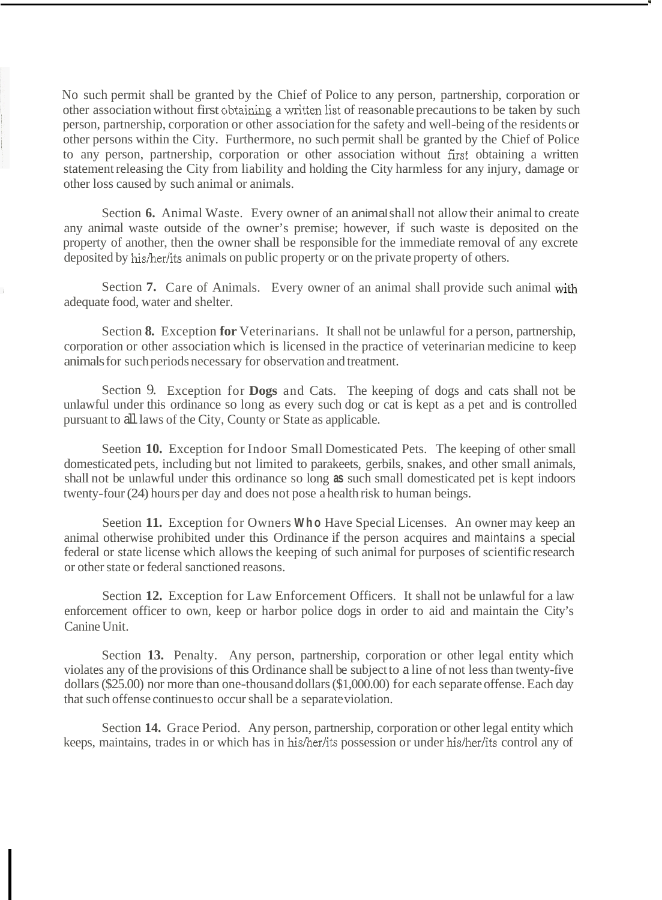No such permit shall be granted by the Chief of Police to any person, partnership, corporation or other association without first obtainiug a Written list of reasonable precautions to be taken by such person, partnership, corporation or other association for the safety and well-being of the residents or other persons within the City. Furthermore, no such permit shall be granted by the Chief of Police to any person, partnership, corporation or other association without first obtaining a written statement releasing the City from liability and holding the City harmless for any injury, damage or other loss caused by such animal or animals.

Section **6.** Animal Waste. Every owner of an animal shall not allow their animal to create any animal waste outside of the owner's premise; however, if such waste is deposited on the property of another, then the owner shall be responsible for the immediate removal of any excrete deposited by his/her/its animals on public property or on the private property of others.

Section **7.** Care of Animals. Every owner of an animal shall provide such animal with adequate food, water and shelter.

Section **8.** Exception **for** Veterinarians. It shall not be unlawful for a person, partnership, corporation or other association which is licensed in the practice of veterinarian medicine to keep animals for such periods necessary for observation and treatment.

Section 9. Exception for **Dogs** and Cats. The keeping of dogs and cats shall not be unlawful under this ordinance so long as every such dog or cat is kept as a pet and is controlled pursuant to all laws of the City, County or State as applicable.

Seetion **10.** Exception for Indoor Small Domesticated Pets. The keeping of other small domesticated pets, including but not limited to parakeets, gerbils, snakes, and other small animals, shall not be unlawful under this ordinance so long **as** such small domesticated pet is kept indoors twenty-four (24) hours per day and does not pose a health risk to human beings.

Seetion **11.** Exception for Owners **Who** Have Special Licenses. An owner may keep an animal otherwise prohibited under this Ordinance if the person acquires and maintains a special federal or state license which allows the keeping of such animal for purposes of scientific research or other state or federal sanctioned reasons.

Section **12.** Exception for Law Enforcement Officers. It shall not be unlawful for a law enforcement officer to own, keep or harbor police dogs in order to aid and maintain the City's Canine Unit.

Section **13.** Penalty. Any person, partnership, corporation or other legal entity which violates any of the provisions of this Ordinance shall be subject to a line of not less than twenty-five dollars (\$25.00) nor more than one-thousand dollars (\$1,000.00) for each separate offense. Each day that such offense continues to occur shall be a separate violation.

Section **14.** Grace Period. Any person, partnership, corporation or other legal entity which keeps, maintains, trades in or which has in his/her/its possession or under his/her/its control any of